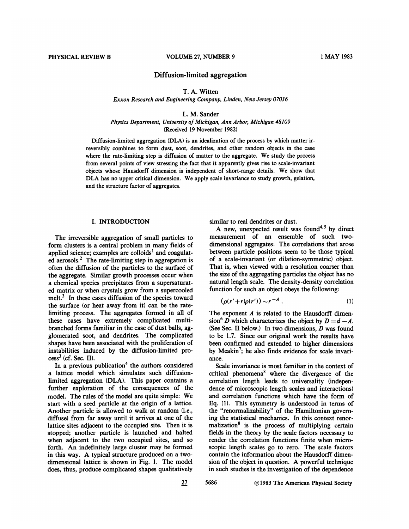# Diffusion-limited aggregation

T. A. Witten

Exxon Research and Engineering Company, Linden, New Jersey 07036

#### L. M. Sander

Physics Department, University of Michigan, Ann Arbor, Michigan 48109 (Received 19 November 1982)

Diffusion-limited aggregation (DLA) is an idealization of the process by which matter irreversibly combines to form dust, soot, dendrites, and other random objects in the case where the rate-limiting step is diffusion of matter to the aggregate. We study the process from several points of view stressing the fact that it apparently gives rise to scale-invariant objects whose Hausdorff dimension is independent of short-range details. We show that DLA has no upper critical dimension. We apply scale invariance to study growth, gelation, and the structure factor of aggregates.

# I. INTRODUCTION

The irreversible aggregation of small particles to form clusters is a central problem in many fields of applied science; examples are colloids' and coagulated aerosols.<sup>2</sup> The rate-limiting step in aggregation is often the diffusion of the particles to the surface of the aggregate. Similar growth processes occur when a chemical species precipitates from a supersaturated matrix or when crystals grow from a supercooled melt.<sup>3</sup> In these cases diffusion of the species toward the surface (or heat away from it) can be the ratelimiting process. The aggregates formed in all of these cases have extremely complicated multibranched forms familiar in the case of dust balls, agglomerated soot, and dendrites. The complicated shapes have been associated with the proliferation of instabilities induced by the diffusion-limited pro $cess<sup>3</sup>$  (cf. Sec. II).

In a previous publication<sup>4</sup> the authors considered a lattice model which simulates such diffusionlimited aggregation (DLA). This paper contains a further exploration of the consequences of the model. The rules of the model are quite simple: We start with a seed particle at the origin of a lattice. Another particle is allowed to walk at random (i.e., diffuse) from far away until it arrives at one of the lattice sites adjacent to the occupied site. Then it is stopped; another particle is launched and halted when adjacent to the two occupied sites, and so forth. An indefinitely large cluster may be formed in this way. A typical structure produced on a twodimensional lattice is shown in Fig. 1. The model does, thus, produce complicated shapes qualitatively

similar to real dendrites or dust.

A new, unexpected result was found<sup>4,5</sup> by direct measurement of an ensemble of such twodimensional aggregates: The correlations that arose between particle positions seem to be those typical of a scale-invariant (or dilation-symmetric) object. That is, when viewed with a resolution coarser than the size of the aggregating particles the object has no natural length scale. The density-density correlation function for such an object obeys the following:

$$
\langle \rho(r'+r)\rho(r')\rangle \sim r^{-A} \ . \tag{1}
$$

The exponent  $A$  is related to the Hausdorff dimension<sup>o</sup> D which characterizes the object by  $D = d - A$ . (See Sec. II below.) In two dimensions,  $D$  was found to be 1.7. Since our original work the results have been confirmed and extended to higher dimensions by Meakin<sup>7</sup>; he also finds evidence for scale invariance.

Scale invariance is most familiar in the context of critical phenomena<sup>8</sup> where the divergence of the correlation length leads to universality (independence of microscopic length scales and interactions) and correlation functions which have the form of Eq. (1). This symmetry is understood in terms of the "renormalizability" of the Hamiltonian governing the statistical mechanics. In this context renormalization $\delta$  is the process of multiplying certain fields in the theory by the scale factors necessary to render the correlation functions finite when microscopic length scales go to zero. The scale factors contain the information about the Hausdorff dimension of the object in question. A powerful technique in such studies is the investigation of the dependence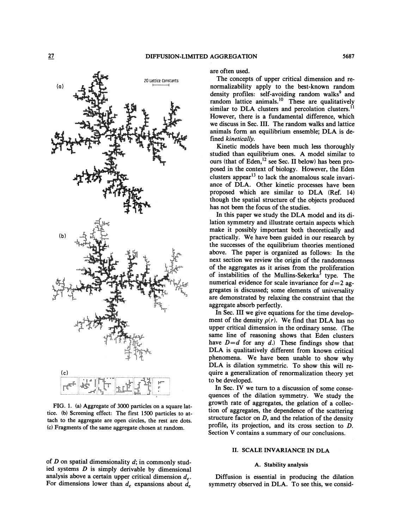

FIG. 1. (a) Aggregate of 3000 particles on a square lattice. (b) Screening effect: The first 1500 particles to attach to the aggregate are open circles, the rest are dots. (c) Fragments of the same aggregate chosen at random.

of  $D$  on spatial dimensionality  $d$ ; in commonly studied systems  $D$  is simply derivable by dimensional analysis above a certain upper critical dimension  $d_c$ . For dimensions lower than  $d_c$  expansions about  $d_c$ 

are often used.

The concepts of upper critical dimension and renormalizability apply to the best-known random density profiles: self-avoiding random walks<sup>9</sup> and random lattice animals.<sup>10</sup> These are qualitatively similar to DLA clusters and percolation clusters.<sup>11</sup> However, there is a fundamental difference, which we discuss in Sec. III. The random walks and lattice animals form an equilibrium ensemble; DLA is defined kinetically.

Kinetic models have been much less thoroughly studied than equilibrium ones. A model similar to ours (that of Eden,<sup>12</sup> see Sec. II below) has been proposed in the context of biology. However, the Eden clusters appear<sup>13</sup> to lack the anomalous scale invariance of DLA. Other kinetic processes have been proposed which are similar to DLA (Ref. 14) though the spatial structure of the objects produced has not been the focus of the studies.

In this paper we study the DLA model and its dilation symmetry and illustrate certain aspects which make it possibly important both theoretically and practically. We have been guided in our research by the successes of the equilibrium theories mentioned above. The paper is organized as follows: In the next section we review the origin of the randomness of the aggregates as it arises from the proliferation of instabilities of the Mullins-Sekerka<sup>3</sup> type. The numerical evidence for scale invariance for  $d=2$  aggregates is discussed; some elements of universality are demonstrated by relaxing the constraint that the aggregate absorb perfectly.

In Sec. III we give equations for the time development of the density  $\rho(r)$ . We find that DLA has no upper critical dimension in the ordinary sense. (The same line of reasoning shows that Eden clusters have  $D=d$  for any d.) These findings show that DLA is qualitatively different from known critical phenomena. We have been unable to show why DLA is dilation symmetric. To show this will require a generalization of renormalization theory yet to be developed.

In Sec. IV we turn to a discussion of some consequences of the dilation symmetry. We study the growth rate of aggregates, the gelation of a collection of aggregates, the dependence of the scattering structure factor on  $D$ , and the relation of the density profile, its projection, and its cross section to  $D$ . Section V contains a summary of our conclusions.

## II. SCALE INVARIANCE IN DLA

#### A. Stability analysis

Diffusion is essential in producing the dilation symmetry observed in DLA. To see this, we consid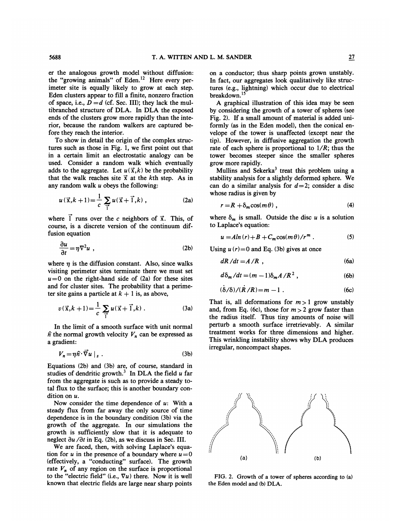er the analogous growth model without diffusion: the "growing animals" of Eden. $^{12}$  Here every perimeter site is equally likely to grow at each step. Eden clusters appear to fill a finite, nonzero fraction of space, i.e.,  $D = d$  (cf. Sec. III); they lack the multibranched structure of DLA. In DLA the exposed ends of the clusters grow more rapidly than the interior, because the random walkers are captured before they reach the interior.

To show in detail the origin of the complex structures such as those in Fig. 1, we first point out that in a certain limit an electrostatic analogy can be used. Consider a random walk which eventually adds to the aggregate. Let  $u(\vec{x},k)$  be the probability that the walk reaches site  $\vec{x}$  at the kth step. As in any random walk  $u$  obeys the following:

$$
u(\vec{x},k+1) = \frac{1}{c} \sum_{\vec{1}} u(\vec{x} + \vec{1},k) , \qquad (2a)
$$

where  $\vec{l}$  runs over the c neighbors of  $\vec{x}$ . This, of course, is a discrete version of the continuum diffusion equation

$$
\frac{\partial u}{\partial t} = \eta \nabla^2 u \tag{2b}
$$

where  $\eta$  is the diffusion constant. Also, since walks visiting perimeter sites terminate there we must set  $u=0$  on the right-hand side of (2a) for these sites and for cluster sites. The probability that a perimeter site gains a particle at  $k + 1$  is, as above,

$$
v(\vec{x},k+1) = \frac{1}{c} \sum_{\vec{1}} u(\vec{x} + \vec{1},k) .
$$
 (3a)

In the limit of a smooth surface with unit normal  $\hat{n}$  the normal growth velocity  $V_n$  can be expressed as a gradient:

$$
V_n = \eta \hat{n} \cdot \vec{\nabla} u \big|_s \ . \tag{3b}
$$

Equations (2b) and (3b) are, of course, standard in studies of dendritic growth.<sup>3</sup> In DLA the field  $u$  far from the aggregate is such as to provide a steady total flux to the surface; this is another boundary condition on  $u$ .

Now consider the time dependence of  $u$ : With a steady flux from far away the only source of time dependence is in the boundary condition {3b) via the growth of the aggregate. In our simulations the growth is sufficiently slow that it is adequate to neglect  $\partial u / \partial t$  in Eq. (2b), as we discuss in Sec. III.

We are faced, then, with solving Laplace's equation for u in the presence of a boundary where  $u=0$ (effectively, a "conducting" surface}. The growth rate  $V_n$  of any region on the surface is proportional to the "electric field" (i.e.,  $\nabla u$ ) there. Now it is well known that electric fields are large near sharp points on a conductor; thus sharp points grown unstably. In fact, our aggregates look qualitatively like structures (e.g., lightning) which occur due to electrical breakdown.<sup>15</sup>

A graphical illustration of this idea may be seen by considering the growth of a tower of spheres (see Fig. 2). If a small amount of material is added uniformly (as in the Eden model), then the conical envelope of the tower is unaffected (except near the tip). However, in diffusive aggregation the growth rate of each sphere is proportional to  $1/R$ ; thus the tower becomes steeper since the smaller spheres grow more rapidly.

Mullins and Sekerka<sup>3</sup> treat this problem using a stability analysis for a slightly deformed sphere. We can do a similar analysis for  $d=2$ ; consider a disc whose radius is given by

$$
r = R + \delta_m \cos(m\theta) \tag{4}
$$

where  $\delta_m$  is small. Outside the disc u is a solution to Laplace's equation:

$$
u = A\ln(r) + B + C_m \cos(m\theta)/r^m. \tag{5}
$$

Using  $u(r)=0$  and Eq. (3b) gives at once

$$
dR/dt = A/R \t{.} \t(6a)
$$

$$
d\delta_m/dt = (m-1)\delta_m A/R^2, \qquad (6b)
$$

$$
(\dot{\delta}/\delta)/(\dot{R}/R)=m-1.
$$
 (6c)

That is, all deformations for  $m>1$  grow unstably and, from Eq. (6c), those for  $m > 2$  grow faster than the radius itself. Thus tiny amounts of noise will perturb a smooth surface irretrievably. A similar treatment works for three dimensions and higher. This wrinkling instability shows why DLA produces irregular, noncompact shapes.



FIG. 2. Growth of a tower of spheres according to (a) the Eden model and (b) DLA.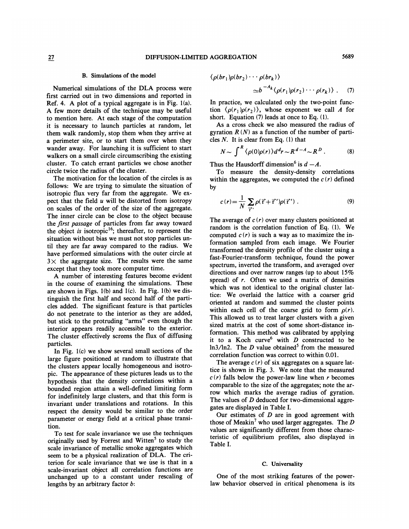# 27 DIFFUSION-LIMITED AGGREGATION 5689

#### B. Simulations of the model

Numerical simulations of the DLA process were first carried out in two dimensions and reported in Ref. 4. A plot of a typical aggregate is in Fig. 1(a). A few more details of the technique may be useful to mention here. At each stage of the computation it is necessary to launch particles at random, let them walk randomly, stop them when they arrive at a perimeter site, or to start them over when they wander away. For launching it is sufficient to start walkers on a small circle circumscribing the existing cluster. To catch errant particles we chose another circle twice the radius of the cluster.

The motivation for the location of the circles is as follows: We are trying to simulate the situation of isotropic flux very far from the aggregate. We expect that the field  $u$  will be distorted from isotropy on scales of the order of the size of the aggregate. The inner circle can be close to the object because the first passage of particles from far away toward the object is isotropic<sup>16</sup>; thereafter, to represent the situation without bias we must not stop particles until they are far away compared to the radius. We have performed simulations with the outer circle at  $3\times$  the aggregate size. The results were the same except that they took more computer time.

A number of interesting features become evident in the course of examining the simulations. These are shown in Figs.  $1(b)$  and  $1(c)$ . In Fig.  $1(b)$  we distinguish the first half and second half of the particles added. The significant feature is that particles do not penetrate to the interior as they are added, but stick to the protruding "arms" even though the interior appears readily accessible to the exterior. The cluster effectively screens the flux of diffusing particles.

In Fig. 1(c) we show several small sections of the large figure positioned at random to illustrate that the clusters appear locally homogeneous and isotropic. The appearance of these pictures leads us to the hypothesis that the density correlations within a bounded region attain a well-defined limiting form for indefinitely large clusters, and that this form is invariant under translations and rotations. In this respect the density would be similar to the order parameter or energy field at a critical phase transition.

To test for scale invariance we use the techniques originally used by Forrest and Witten<sup>5</sup> to study the scale invariance of metallic smoke aggregates which seem to be a physical realization of DLA. The criterion for scale invariance that we use is that in a scale-invariant object all correlation functions are unchanged up to a constant under rescaling of lengths by an arbitrary factor b:

$$
\langle \rho(br_1)\rho(br_2\rangle \cdots \rho(br_k\rangle
$$
  
 
$$
\simeq b^{-A_k} \langle \rho(r_1)\rho(r_2)\cdots \rho(r_k)\rangle . \quad (7)
$$

In practice, we calculated only the two-point function  $\langle \rho(r_1)\rho(r_2) \rangle$ , whose exponent we call A for short. Equation (7) leads at once to Eq. (1).

As a cross check we also measured the radius of gyration  $R(N)$  as a function of the number of particles  $N$ . It is clear from Eq. (1) that

$$
N \sim \int^{R} \langle \rho(0)\rho(r) \rangle d^d r \sim R^{d-A} \sim R^D. \tag{8}
$$

Thus the Hausdorff dimension<sup>6</sup> is  $d - A$ .

To measure the density-density correlations within the aggregates, we computed the  $c(r)$  defined by

$$
c(r) = \frac{1}{N} \sum_{\vec{\mathbf{r}}'} \rho(\vec{\mathbf{r}} + \vec{\mathbf{r}}') \rho(\vec{\mathbf{r}}') . \tag{9}
$$

The average of  $c(r)$  over many clusters positioned at random is the correlation function of Eq. (1). We computed  $c(r)$  is such a way as to maximize the information sampled from each image. We Fourier transformed the density profile of the cluster using a fast-Fourier-transform technique, found the power spectrum, inverted the transform, and averaged over directions and over narrow ranges (up to about 15% spread) of  $r$ . Often we used a matrix of densities which was not identical to the original cluster lattice: We overlaid the lattice with a coarser grid oriented at random and summed the cluster points within each cell of the coarse grid to form  $\rho(r)$ . This allowed us to treat larger clusters with a given sized matrix at the cost of some short-distance information. This method was calibrated by applying it to a Koch curve with  $D$  constructed to be ln3/ln2. The  $D$  value obtained<sup>5</sup> from the measured correlation function was correct to within 0.01.

The average  $c(r)$  of six aggregates on a square lattice is shown in Fig. 3. We note that the measured  $c(r)$  falls below the power-law line when r becomes comparable to the size of the aggregates; note the arrow which marks the average radius of gyration. The values of  $D$  deduced for two-dimensional aggregates are displayed in Table I.

Our estimates of  $D$  are in good agreement with those of Meakin<sup>7</sup> who used larger aggregates. The  $D$ values are significantly different from those characteristic of equilibrium profiles, also displayed in Table I.

## C. Universality

One of the most striking features of the powerlaw behavior observed in critical phenomena is its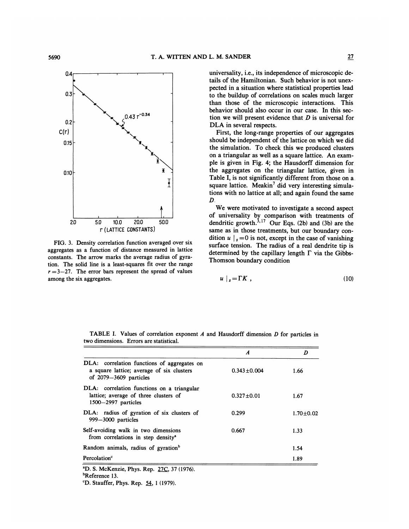

FIG. 3. Density correlation function averaged over six aggregates as a function of distance measured in lattice constants. The arrow marks the average radius of gyration. The solid line is a least-squares fit over the range  $r = 3 - 27$ . The error bars represent the spread of values among the six aggregates.

universality, i.e., its independence of microscopic details of the Hamiltonian. Such behavior is not unexpected in a situation where statistical properties lead to the buildup of correlations on scales much larger than those of the microscopic interactions. This behavior should also occur in our case. In this section we will present evidence that  $D$  is universal for DLA in several respects.

First, the long-range properties of our aggregates should be independent of the lattice on which we did the simulation. To check this we produced clusters on a triangular as well as a square lattice. An example is given in Fig. 4; the Hausdorff dimension for the aggregates on the triangular lattice, given in Table I, is not significantly different from those on a, square lattice. Meakin<sup>7</sup> did very interesting simulations with no lattice at all; and again found the same D.

We were motivated to investigate a second aspect of universality by comparison with treatments of dendritic growth.  $U^{\dagger}$  Our Eqs. (2b) and (3b) are the same as in those treatments, but our boundary condition  $u \mid_{s} = 0$  is not, except in the case of vanishing surface tension. The radius of a real dendrite tip is determined by the capillary length  $\Gamma$  via the Gibbs-Thomson boundary condition

$$
u \mid_{s} = \Gamma K , \qquad (10)
$$

|                                                                                                                        | A               | D               |
|------------------------------------------------------------------------------------------------------------------------|-----------------|-----------------|
| DLA: correlation functions of aggregates on<br>a square lattice; average of six clusters<br>of $2079 - 3609$ particles | $0.343 + 0.004$ | 1.66            |
| DLA: correlation functions on a triangular<br>lattice; average of three clusters of<br>$1500 - 2997$ particles         | $0.327 + 0.01$  | 1.67            |
| DLA: radius of gyration of six clusters of<br>$999 - 3000$ particles                                                   | 0.299           | $1.70 \pm 0.02$ |
| Self-avoiding walk in two dimensions<br>from correlations in step density <sup>a</sup>                                 | 0.667           | 1.33            |
| Random animals, radius of gyration <sup>b</sup>                                                                        |                 | 1.54            |
| Percolation <sup>c</sup>                                                                                               |                 | 1.89            |

TABLE I. Values of correlation exponent <sup>A</sup> and Hausdorff dimension D for particles in two dimensions. Errors are statistical.

<sup>a</sup>D. S. McKenzie, Phys. Rep. 27C, 37 (1976).

bReference 13.

<sup>c</sup>D. Stauffer, Phys. Rep. 54, 1 (1979).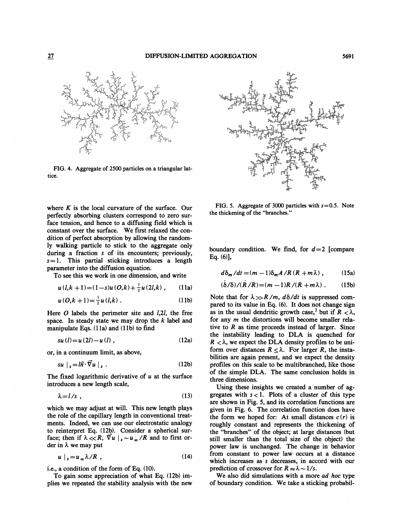

FIG. 4. Aggregate of 2500 particles on a triangular lattice.

where  $K$  is the local curvature of the surface. Our perfectly absorbing clusters correspond to zero surface tension, and hence to a diffusing field which is constant over the surface. We first relaxed the condition of perfect absorption by allowing the randomly walking particle to stick to the aggregate only during a fraction s of its encounters; previously,  $s=1$ . This partial sticking introduces a length parameter into the diffusion equation.

To see this we work in one dimension, and write

$$
u(l,k+1) = (1-s)u(0,k) + \frac{1}{2}u(2l,k) , \qquad (11a)
$$

$$
u(0,k+1) = \frac{1}{2}u(l,k) \tag{11b}
$$

Here  $O$  labels the perimeter site and  $1,21$ , the free space. In steady state we may drop the  $k$  label and manipulate Eqs. (11a) and (11b) to find

$$
su(l) = u(2l) - u(l) , \qquad (12a)
$$

or, in a continuum limit, as above,

$$
su \mid_{s} = l\hat{n} \cdot \overline{\nabla} u \mid_{s} . \tag{12b}
$$

The fixed logarithmic derivative of  $u$  at the surface introduces a new length scale,

$$
\lambda = l/s \tag{13}
$$

which we may adjust at will. This new length plays the role of the capillary length in conventional treatments. Indeed, we can use our electrostatic analogy to reinterpret Eq. (12b). Consider a spherical surface; then if  $\lambda \ll R$ ,  $\overline{\nabla} u \mid_{s} \sim u_{\infty} / R$  and to first order in  $\lambda$  we may put

$$
u \mid_{s} = u_{\infty} \lambda / R \tag{14}
$$

i.e., a condition of the form of Eq. (10).

To gain some appreciation of what Eq. (12b) implies we repeated the stability analysis with the new



boundary condition. We find, for  $d=2$  [compare Eq. (6)],

$$
d\delta_m/dt = (m-1)\delta_m A/R (R+m\lambda) , \qquad (15a)
$$

$$
(\delta/\delta)/(R/R) = (m-1)R/(R+m\lambda) .
$$
 (15b)

Note that for  $\lambda >> R/m$ ,  $d\delta/dt$  is suppressed compared to its value in Eq. (6). It does not change sign as in the usual dendritic growth case,<sup>3</sup> but if  $R < \lambda$ , for any  $m$  the distortions will become smaller relative to  $R$  as time proceeds instead of larger. Since the instability leading to DLA is quenched for  $R < \lambda$ , we expect the DLA density profiles to be uniform over distances  $R \leq \lambda$ . For larger R, the instabilities are again present, and we expect the density profiles on this scale to be multibranched, like those of the simple DLA. The same conclusion holds in three dimensions.

Using these insights we created a number of aggregates with  $s < 1$ . Plots of a cluster of this type are shown in Fig. 5, and its correlation functions are given in Fig. 6. The correlation function does have the form we hoped for: At small distances  $c(r)$  is roughly constant and represents the thickening of the "branches" of the object; at large distances (but) still smaller than the total size of the object) the power law is unchanged. The change in behavior from constant to power law occurs at a distance which increases as *s* decreases, in accord with our prediction of crossover for  $R \approx \lambda \sim 1/s$ .

We also did simulations with a more *ad hoc* type of boundary condition. We take a sticking probabil-

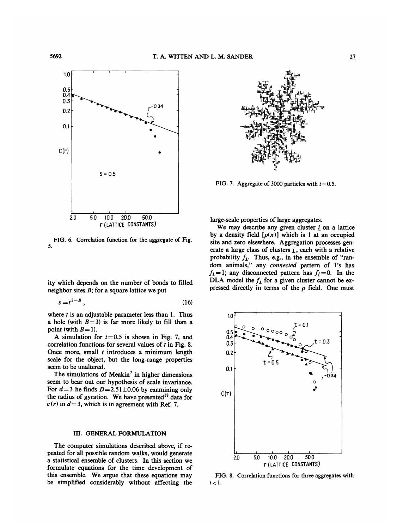

5. FIG. 6. Correlation function for the aggregate of Fig.

ity which depends on the number of bonds to filled neighbor sites  $B$ ; for a square lattice we put

$$
s = t^{3-B} \t{16}
$$

where  $t$  is an adjustable parameter less than 1. Thus a hole (with  $B=3$ ) is far more likely to fill than a point (with  $B=1$ ).

A simulation for  $t=0.5$  is shown in Fig. 7, and correlation functions for several values of  $t$  in Fig. 8. Once more, small  $t$  introduces a minimum length scale for the object, but the long-range properties seem to be unaltered.

The simulations of Meakin<sup>7</sup> in higher dimensions seem to bear out our hypothesis of scale invariance. For  $d=3$  he finds  $D=2.51\pm0.06$  by examining only the radius of gyration. We have presented<sup>18</sup> data for  $c(r)$  in  $d=3$ , which is in agreement with Ref. 7.

## III. GENERAL FORMULATION

The computer simulations described above, if repeated for all possible random walks, would generate a statistical ensemble of clusters. In this section we formulate equations for the time development of this ensemble. We argue that these equations may be simplified considerably without affecting the



FIG. 7. Aggregate of 3000 particles with  $t=0.5$ .

large-scale properties of large aggregates.

We may describe any given cluster  $i$  on a lattice by a density field  $[\rho(x)]$  which is 1 at an occupied site and zero elsewhere. Aggregation processes generate a large class of clusters  $i$ , each with a relative probability  $f_i$ . Thus, e.g., in the ensemble of "random animals," any connected pattern of 1's has  $f_i=1$ ; any disconnected pattern has  $f_i=0$ . In the DLA model the  $f_i$  for a given cluster cannot be expressed directly in terms of the  $\rho$  field. One must



FIG. 8. Correlation functions for three aggregates with  $t<1$ .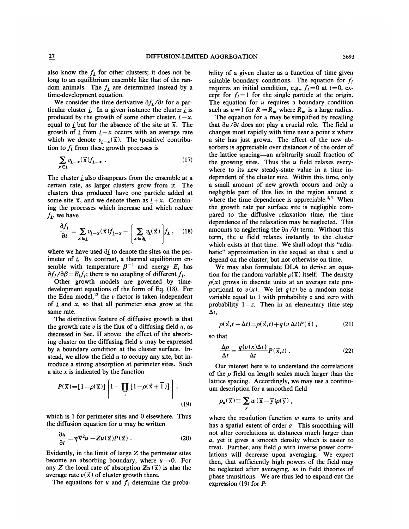also know the  $f_i$  for other clusters; it does not belong to an equilibrium ensemble like that of the random animals. The  $f_i$  are determined instead by a time-development equation.

We consider the time derivative  $\partial f_i/\partial t$  for a particular cluster  $\underline{i}$ . In a given instance the cluster  $\underline{i}$  is produced by the growth of some other cluster,  $i - x$ , equal to  $\underline{i}$  but for the absence of the site at  $\vec{x}$ . The growth of  $\underline{i}$  from  $\underline{i} - x$  occurs with an average rate which we denote  $v_{i-x}(\vec{x})$ . The (positive) contribution to  $f_i$  from these growth processes is

$$
\sum_{x \in \underline{i}} v_{\underline{i} - x}(\vec{x}) f_{\underline{i} - x} \tag{17}
$$

The cluster *i* also disappears from the ensemble at a certain rate, as larger clusters grow from it. The clusters thus produced have one particle added at some site  $\vec{x}$ , and we denote them as  $i + x$ . Combining the processes which increase and which reduce  $f_{\textit{i}}$ , we have

$$
\frac{\partial f_i}{\partial t} = \sum_{x \in \underline{i}} v_{\underline{i} - x}(\vec{x}) f_{\underline{i} - x} - \left[ \sum_{x \in \partial \underline{i}} v_{\underline{i}}(\vec{x}) \right] f_{\underline{i}} , \quad (18)
$$

where we have used  $\partial \underline{i}$  to denote the sites on the perimeter of  $i$ . By contrast, a thermal equilibrium ensemble with temperature  $\beta^{-1}$  and energy  $E_i$  has  $\partial f_i / \partial \beta = E_i f_i$ ; there is no coupling of different  $f_i$ .

Other growth models are governed by timedevelopment equations of the form of Eq. (18). For the Eden model,<sup>12</sup> the v factor is taken independent of  $i$  and  $x$ , so that all perimeter sites grow at the same rate.

The distinctive feature of diffusive growth is that the growth rate  $v$  is the flux of a diffusing field  $u$ , as discussed in Sec. II above: the effect of the absorbing cluster on the diffusing field  $u$  may be expressed by a boundary condition at the cluster surface. Instead, we allow the field  $u$  to occupy any site, but introduce a strong absorption at perimeter sites. Such a site  $x$  is indicated by the function

$$
P(\vec{x}) = [1 - \rho(\vec{x})] \left[ 1 - \prod_{\vec{1}} \left[ 1 - \rho(\vec{x} + \vec{1}) \right] \right],
$$
\n(19)

which is 1 for perimeter sites and 0 elsewhere. Thus the diffusion equation for  $u$  may be written

$$
\frac{\partial u}{\partial t} = \eta \nabla^2 u - Z u(\vec{x}) P(\vec{x}) . \qquad (20)
$$

Evidently, in the limit of large  $Z$  the perimeter sites become an absorbing boundary, where  $u \rightarrow 0$ . For any Z the local rate of absorption  $Zu(\vec{x})$  is also the average rate  $v(\vec{x})$  of cluster growth there.

The equations for u and  $f_i$  determine the proba-

bility of a given cluster as a function of time given suitable boundary conditions. The equation for  $f_i$ requires an initial condition, e.g.,  $f_i = 0$  at  $t = 0$ , except for  $f_i = 1$  for the single particle at the origin. The equation for  $u$  requires a boundary condition such as  $u=1$  for  $R = R_m$  where  $R_m$  is a large radius.

The equation for  $u$  may be simplified by recalling that  $\partial u/\partial t$  does not play a crucial role. The field u changes most rapidly with time near a point  $x$  where a site has just grown. The effect of the new absorbers is appreciable over distances  $r$  of the order of the lattice spacing—an arbitrarily small fraction of the growing sites. Thus the  $u$  field relaxes everywhere to its new steady-state value in a time independent of the cluster size. Within this time, only a small amount of new growth occurs and only a negligible part of this lies in the region around  $x$ where the time dependence is appreciable.<sup>3,4</sup> When the growth rate per surface site is negligible compared to the diffusive relaxation time, the time dependence of the relaxation may be neglected. This amounts to neglecting the  $\partial u / \partial t$  term. Without this term, the  $u$  field relaxes instantly to the cluster which exists at that time. We shall adopt this "adiabatic" approximation in the sequel so that  $v$  and  $u$ depend on the cluster, but not otherwise on time.

We may also formulate DLA to derive an equation for the random variable  $\rho(\vec{x})$  itself. The density  $\rho(x)$  grows in discrete units at an average rate proportional to  $v(x)$ . We let  $q(z)$  be a random noise variable equal to 1 with probability z and zero with probability  $1-z$ . Then in an elementary time step  $\Delta t$ ,

$$
\rho(\vec{x}, t + \Delta t) = \rho(\vec{x}, t) + q(v \Delta t) P(\vec{x}), \qquad (21)
$$

so that

$$
\frac{\Delta \rho}{\Delta t} = \frac{q(v(x)\Delta t)}{\Delta t} P(\vec{x}, t) . \qquad (22)
$$

Our interest here is to understand the correlations of the  $\rho$  field on length scales much larger than the lattice spacing. Accordingly, we may use a continuum description for a smoothed field

$$
\rho_a(\vec{x}) \equiv \sum_y w(\vec{x} - \vec{y}) \rho(\vec{y}) ,
$$

where the resolution function  $w$  sums to unity and has a spatial extent of order a. This smoothing will not alter correlations at distances much larger than a, yet it gives a smooth density which is easier to treat. Further, any field  $\rho$  with inverse power correlations will decrease upon averaging. We expect then, that sufficiently high powers of the field may be neglected after averaging, as in field theories of phase transitions. We are thus led to expand out the expression (19) for  $P$ :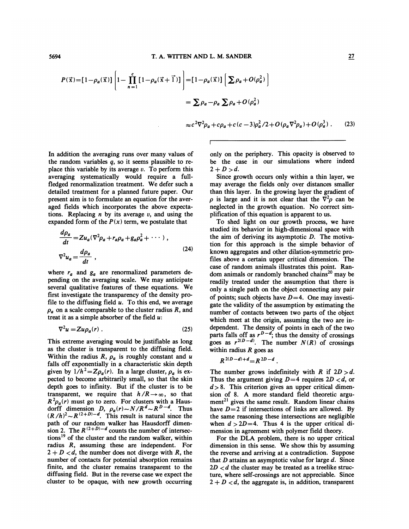$$
P(\vec{x}) = [1 - \rho_a(\vec{x})] \left[ 1 - \prod_{n=1}^c \left[ 1 - \rho_a(\vec{x} + \vec{1}) \right] \right] = [1 - \rho_a(\vec{x})] \left[ \sum \rho_a + O(\rho_a^2) \right]
$$
  

$$
= \sum \rho_a - \rho_a \sum \rho_a + O(\rho_a^2)
$$
  

$$
\approx c^2 \nabla^2 \rho_a + c \rho_a + c(c - 3) \rho_a^2 / 2 + O(\rho_a \nabla^2 \rho_a) + O(\rho_a^3) . \tag{23}
$$

In addition the averaging runs over many values of the random variables  $q$ , so it seems plausible to replace this variable by its average  $v$ . To perform this averaging systematically would require a fullfledged renormalization treatment. We defer such a detailed treatment for a planned future paper. Our present aim is to formulate an equation for the averaged fields which incorporates the above expectations. Replacing  $n$  by its average  $v$ , and using the expanded form of the  $P(x)$  term, we postulate that

$$
\frac{d\rho_a}{dt} = Z u_a (\nabla^2 \rho_a + r_a \rho_a + g_a \rho_a^2 + \cdots) ,
$$
  

$$
\nabla^2 u_a = \frac{d\rho_a}{dt} ,
$$
 (24)

where  $r_a$  and  $g_a$  are renormalized parameters depending on the averaging scale. We may anticipate several qualitative features of these equations. We first investigate the transparency of the density profile to the diffusing field  $u$ . To this end, we average  $\rho_a$  on a scale comparable to the cluster radius R, and treat it as a simple absorber of the field  $u$ :

$$
\nabla^2 u = Z u \rho_a(r) \tag{25}
$$

This extreme averaging would be justifiable as long as the cluster is transparent to the diffusing field. Within the radius R,  $\rho_a$  is roughly constant and u falls off exponentially in a characteristic skin depth given by  $1/h^2 = Z\rho_a(r)$ . In a large cluster,  $\rho_a$  is expected to become arbitrarily small, so that the skin depth goes to infinity. But if the cluster is to be transparent, we require that  $h/R \rightarrow \infty$ , so that  $R^{2} \rho_{a}(r)$  must go to zero. For clusters with a Hausdorff dimension D,  $\rho_a(r) \sim N/R^d \sim R^{D-d}$ . Thus  $(R/h)^2 \sim R^{(2+D)-d}$ . This result is natural since the path of our random walker has Hausdorff dimension 2. The  $R^{(2+D)-d}$  counts the number of intersections<sup>19</sup> of the cluster and the random walker, within radius R, assuming these are independent. For  $2 + D < d$ , the number does not diverge with R, the number of contacts for potential absorption remains finite, and the cluster remains transparent to the diffusing field. But in the reverse case we expect the cluster to be opaque, with new growth occurring

only on the periphery. This opacity is observed to be the case in our simulations where indeed  $2 + D > d$ .

Since growth occurs only within a thin layer, we may average the fields only over distances smaller than this layer. In the growing layer the gradient of  $\rho$  is large and it is not clear that the  $\nabla^2 \rho$  can be neglected in the growth equation. No correct simplification of this equation is apparent to us.

To shed light on our growth process, we have studied its behavior in high-dimensional space with the aim of deriving its asymptotic  $D$ . The motivation for this approach is the simple behavior of known aggregates and other dilation-symmetric profiles above a certain upper critical dimension. The case of random animals illustrates this point. Random animals or randomly branched chains<sup>20</sup> may be readily treated under the assumption that there is only a single path on the object connecting any pair of points; such objects have  $D=4$ . One may investigate the validity of the assumption by estimating the number of contacts between two parts of the object which meet at the origin, assuming the two are independent. The density of points in each of the two which meet at the origin, assuming the two are in dependent. The density of points in each of the two parts falls off as  $r^{D-d}$ ; thus the density of crossing goes as  $r^{2(D-d)}$ . The number  $N(R)$  of crossing within radius  $R$  goes as

$$
R^{2(D-d)+d} = R^{2D-d}.
$$

The number grows indefinitely with R if  $2D > d$ . Thus the argument giving  $D=4$  requires  $2D < d$ , or  $d > 8$ . This criterion gives an upper critical dimension of 8. A more standard field theoretic argument<sup>21</sup> gives the same result. Random linear chains have  $D=2$  if intersections of links are allowed. By the same reasoning these intersections are negligible when  $d > 2D=4$ . Thus 4 is the upper critical dimension in agreement with polymer field theory.

For the DLA problem, there is no upper critical dimension in this sense. We show this by assuming the reverse and arriving at a contradiction. Suppose that  $D$  attains an asymptotic value for large  $d$ . Since  $2D < d$  the cluster may be treated as a treelike structure, where self-crossings are not appreciable. Since  $2 + D < d$ , the aggregate is, in addition, transparent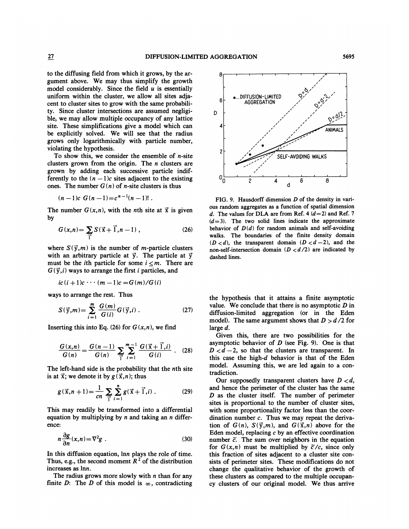to the diffusing field from which it grows, by the argument above. We may thus simplify the growth model considerably. Since the field  $u$  is essentially uniform within the cluster, we allow all sites adjacent to cluster sites to grow with the same probability. Since cluster intersections are assumed negligible, we may allow multiple occupancy of any lattice site. These simplifications give a model which can be explicitly solved. We will see that the radius grows only logarithmically with particle number, violating the hypothesis.

To show this, we consider the ensemble of  $n$ -site clusters grown from the origin. The  $n$  clusters are grown by adding each successive particle indifferently to the  $(n - 1)c$  sites adjacent to the existing ones. The number  $G(n)$  of *n*-site clusters is thus

$$
(n-1)c G(n-1)=c^{n-1}(n-1)!\ .
$$

The number  $G(x, n)$ , with the *n*th site at  $\vec{x}$  is given by

$$
G(x,n) = \sum_{\vec{1}} S(\vec{x} + \vec{1}, n-1) ,
$$
 (26)

where  $S(\vec{y},m)$  is the number of *m*-particle clusters with an arbitrary particle at  $\vec{y}$ . The particle at  $\vec{y}$ must be the *i*th particle for some  $i < m$ . There are  $G(\vec{y}, i)$  ways to arrange the first *i* particles, and

$$
ic (i + 1)c \cdots (m-1)c = G(m)/G(i)
$$

ways to arrange the rest. Thus

$$
S(\vec{y},m) = \sum_{i=1}^{m} \frac{G(m)}{G(i)} G(\vec{y},i) .
$$
 (27)

Inserting this into Eq. (26) for  $G(x, n)$ , we find

$$
\frac{G(x,n)}{G(n)} = \frac{G(n-1)}{G(n)} \sum_{\vec{i}} \sum_{i=1}^{m-1} \frac{G(\vec{x} + \vec{1},i)}{G(i)} .
$$
 (28)

The left-hand side is the probability that the nth site is at  $\vec{x}$ ; we denote it by  $g(\vec{x},n)$ ; thus

$$
g(\vec{x}, n+1) = \frac{1}{cn} \sum_{\vec{i}} \sum_{i=1}^{n} g(\vec{x} + \vec{1}, i)
$$
 (29)

This may readily be transformed into a differential equation by multiplying by  $n$  and taking an  $n$  difference:

$$
n\frac{\partial g}{\partial n}(x,n) = \nabla^2 g \tag{30}
$$

In this diffusion equation, inn plays the role of time. Thus, e.g., the second moment  $R^2$  of the distribution increases as inn.

The radius grows more slowly with  $n$  than for any finite D: The D of this model is  $\infty$ , contradicting



FIG. 9. Hausdorff dimension  $D$  of the density in various random aggregates as a function of spatial dimension d. The values for DLA are from Ref. 4  $(d=2)$  and Ref. 7  $(d=3)$ . The two solid lines indicate the approximate behavior of  $D(d)$  for random animals and self-avoiding walks. The boundaries of the finite density domain  $(D < d)$ , the transparent domain  $(D < d - 2)$ , and the non-self-intersection domain  $(D < d/2)$  are indicated by dashed lines.

the hypothesis that it attains a finite asymptotic value. We conclude that there is no asymptotic  $D$  in diffusion-limited aggregation (or in the Eden model). The same argument shows that  $D > d/2$  for large d.

Given this, there are two possibilities for the asymptotic behavior of  $D$  (see Fig. 9). One is that  $D < d - 2$ , so that the clusters are transparent. In this case the high-d behavior is that of the Eden model. Assuming this, we are led again to a contradiction.

Our supposedly transparent clusters have  $D < d$ , and hence the perimeter of the cluster has the same  $D$  as the cluster itself. The number of perimeter sites is proportional to the number of cluster sites, with some proportionality factor less than the coordination number c. Thus we may repeat the derivation of  $G(n)$ ,  $S(\vec{y},m)$ , and  $G(\vec{x},n)$  above for the Eden model, replacing c by an effective coordination number  $\tilde{c}$ . The sum over neighbors in the equation for  $G(x,n)$  must be multiplied by  $\tilde{c}/c$ , since only this fraction of sites adjacent to a cluster site consists of perimeter sites. These modifications do not change the qualitative behavior of the growth of these clusters as compared to the multiple occupancy clusters of our original model. We thus arrive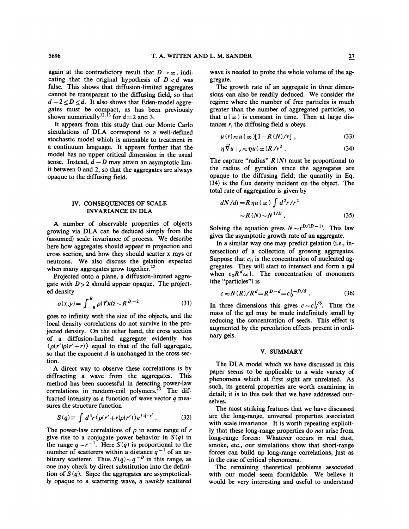again at the contradictory result that  $D \rightarrow \infty$ , indicating that the original hypothesis of  $D < d$  was false. This shows that diffusion-limited aggregates cannot be transparent to the diffusing field, so that  $d-2 \le D \le d$ . It also shows that Eden-model aggregates must be compact, as has been previousl shown numericall ' $\int_0^3$  for  $d=2$  and 3.

It appears from this study that our Monte Carlo simulations of DLA correspond to a well-defined stochastic model which is amenable to treatment in a continuum language. It appears further that the model has no upper critical dimension in the usual sense. Instead,  $d - D$  may attain an asymptotic limit between 0 and 2, so that the aggregates are always opaque to the diffusing field.

## IV. CONSEQUENCES OF SCALE INVARIANCE IN DLA

A number of observable properties of objects growing via DLA can be deduced simply from the (assumed) scale invariance of process. We describe here how aggregates should appear in projection and cross section, and how they should scatter x rays or neutrons. We also discuss the gelation expected when many aggregates grow together.<sup>22</sup>

Projected onto a plane, a diffusion-limited aggregate with  $D > 2$  should appear opaque. The projected density

$$
\sigma(x,y) = \int_{-R}^{R} \rho(\vec{r}) dz \sim R^{D-2}
$$
 (31)

goes to infinity with the size of the objects, and the local density correlations do not survive in the projected density. On the other hand, the cross section of a diffusion-limited aggregate evidently has  $\langle \rho(r')\rho(r'+r) \rangle$  equal to that of the full aggregate, so that the exponent  $\vec{A}$  is unchanged in the cross section.

A direct way to observe these correlations is by diffracting a wave from the aggregates. This method has been successful in detecting power-law correlations in random-coil polymers.<sup>23</sup> The diffracted intensity as a function of wave vector  $q$  measures the structure function

$$
S(q) \equiv \int d^3r \langle \rho(r'+r)\rho(r')\rangle e^{i\vec{q}\cdot\vec{r}}.
$$
 (32)

The power-law correlations of  $\rho$  in some range of r give rise to a conjugate power behavior in  $S(q)$  in the range  $q \sim r^{-1}$ . Here  $S(q)$  is proportional to the number of scatterers within a distance  $q^{-1}$  of an arbitrary scatterer. Thus  $S(q) \sim q^{-D}$  in this range, as one may check by direct substitution into the definition of  $S(q)$ . Since the aggregates are asymptotically opaque to a scattering wave, a weakly scattered wave is needed to probe the whole volume of the aggregate.

The growth rate of an aggregate in three dimensions can also be readily deduced. We consider the regime where the number of free particles is much greater than the number of aggregated particles, so that  $u(\infty)$  is constant in time. Then at large distances  $r$ , the diffusing field  $u$  obeys

$$
u(r) \approx u(\infty) [1 - R(N)/r], \qquad (33)
$$

$$
\eta \vec{\nabla} u \mid_r \approx \eta u(\infty) R / r^2 . \tag{34}
$$

The capture "radius"  $R(N)$  must be proportional to the radius of gyration since the aggregates are opaque to the diffusing field; the quantity in Eq. (34) is the flux density incident on the object. The total rate of aggregation is given by

$$
dN/dt = R \eta u \left(\infty\right) \int d^2r/r^2
$$
  
 
$$
\sim R(N) \sim N^{1/D}, \qquad (35)
$$

Solving the equation gives  $N \sim t^{D/(D-1)}$ . This law gives the asymptotic growth rate of an aggregate.

In a similar way one may predict gelation (i.e., intersection) of a collection of growing aggregates. Suppose that  $c_0$  is the concentration of nucleated aggregates. They will start to intersect and form a gel when  $c_0R^d \approx 1$ . The concentration of monomers (the "particles") is

$$
c \approx N(R)/R^d = R^{D-d} = c_0^{1-D/d} . \tag{36}
$$

In three dimensions this gives  $c \sim c_0^{1/6}$ . Thus the mass of the gel may be made indefinitely small by reducing the concentration of seeds. This effect is augmented by the percolation effects present in ordinary gels.

## V. SUMMARY

The DLA model which we have discussed in this paper seems to be applicable to a wide variety of phenomena which at first sight are unrelated. As such, its general properties are worth examining in detail; it is to this task that we have addressed ourselves.

The most striking features that we have discussed are the long-range, universal properties associated with scale invariance. It is worth repeating explicitly that these long-range properties do not arise from long-range forces: Whatever occurs in real dust, smoke, etc., our simulations show that short-range forces can build up long-range correlations, just as in the case of critical phenomena.

The remaining theoretical problems associated with our model seem formidable. We believe it would be very interesting and useful to understand